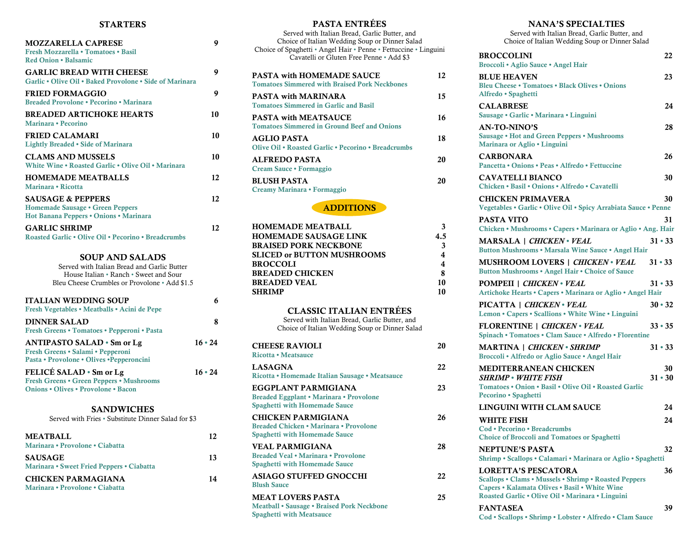### STARTERS

| <b>MOZZARELLA CAPRESE</b><br>Fresh Mozzarella • Tomatoes • Basil<br><b>Red Onion . Balsamic</b>                                                                  | 9  |
|------------------------------------------------------------------------------------------------------------------------------------------------------------------|----|
| <b>GARLIC BREAD WITH CHEESE</b><br>Garlic • Olive Oil • Baked Provolone • Side of Marinara                                                                       | 9  |
| <b>FRIED FORMAGGIO</b><br>Breaded Provolone • Pecorino • Marinara                                                                                                | 9  |
| <b>BREADED ARTICHOKE HEARTS</b><br>Marinara • Pecorino                                                                                                           | 10 |
| <b>FRIED CALAMARI</b><br>Lightly Breaded • Side of Marinara                                                                                                      | 10 |
| <b>CLAMS AND MUSSELS</b><br>White Wine • Roasted Garlic • Olive Oil • Marinara                                                                                   | 10 |
| <b>HOMEMADE MEATBALLS</b><br>Marinara • Ricotta                                                                                                                  | 12 |
| <b>SAUSAGE &amp; PEPPERS</b><br>Homemade Sausage • Green Peppers<br>Hot Banana Peppers • Onions • Marinara                                                       | 12 |
| <b>GARLIC SHRIMP</b><br><b>Roasted Garlic • Olive Oil • Pecorino • Breadcrumbs</b>                                                                               | 12 |
| <b>SOUP AND SALADS</b><br>Served with Italian Bread and Garlic Butter<br>House Italian • Ranch • Sweet and Sour<br>Bleu Cheese Crumbles or Provolone • Add \$1.5 |    |
| <b>ITALIAN WEDDING SOUP</b>                                                                                                                                      | 6  |

| Fresh Vegetables • Meatballs • Acini de Pepe                                                                        |               |
|---------------------------------------------------------------------------------------------------------------------|---------------|
| <b>DINNER SALAD</b><br>Fresh Greens • Tomatoes • Pepperoni • Pasta                                                  | 8             |
| <b>ANTIPASTO SALAD • Sm or Lg</b><br>Fresh Greens • Salami • Pepperoni<br>Pasta • Provolone • Olives • Pepperoncini | $16 \cdot 24$ |
| FELICÉ SALAD · Sm or Lg<br>Fresh Greens • Green Peppers • Mushrooms<br><b>Onions • Olives • Provolone • Bacon</b>   | $16 \cdot 24$ |

SANDWICHES Served with Fries • Substitute Dinner Salad for \$3 MEATBALL 12 Marinara • Provolone • Ciabatta SAUSAGE 13 Marinara • Sweet Fried Peppers • Ciabatta CHICKEN PARMAGIANA 14 Marinara • Provolone • Ciabatta

| <b>PASTA ENTRÉES</b>                                                                                               |          |
|--------------------------------------------------------------------------------------------------------------------|----------|
| Served with Italian Bread, Garlic Butter, and                                                                      |          |
| Choice of Italian Wedding Soup or Dinner Salad<br>Choice of Spaghetti · Angel Hair · Penne · Fettuccine · Linguini |          |
| Cavatelli or Gluten Free Penne • Add \$3                                                                           |          |
|                                                                                                                    |          |
| <b>PASTA with HOMEMADE SAUCE</b>                                                                                   | 12       |
| <b>Tomatoes Simmered with Braised Pork Neckbones</b>                                                               |          |
| <b>PASTA with MARINARA</b>                                                                                         | 15       |
| <b>Tomatoes Simmered in Garlic and Basil</b>                                                                       |          |
| <b>PASTA with MEATSAUCE</b>                                                                                        | 16       |
| <b>Tomatoes Simmered in Ground Beef and Onions</b>                                                                 |          |
| <b>AGLIO PASTA</b>                                                                                                 | 18       |
| Olive Oil • Roasted Garlic • Pecorino • Breadcrumbs                                                                |          |
| ALFREDO PASTA                                                                                                      | 20       |
| Cream Sauce · Formaggio                                                                                            |          |
| <b>BLUSH PASTA</b>                                                                                                 | 20       |
| Creamy Marinara · Formaggio                                                                                        |          |
|                                                                                                                    |          |
| <b>ADDITIONS</b>                                                                                                   |          |
| <b>HOMEMADE MEATBALL</b>                                                                                           |          |
| <b>HOMEMADE SAUSAGE LINK</b>                                                                                       | 3<br>4.5 |
| <b>BRAISED PORK NECKBONE</b>                                                                                       | 3        |
| <b>SLICED or BUTTON MUSHROOMS</b>                                                                                  | 4        |
| <b>BROCCOLI</b>                                                                                                    | 4        |
| <b>BREADED CHICKEN</b>                                                                                             | 8        |
| <b>BREADED VEAL</b>                                                                                                | 10       |
| <b>SHRIMP</b>                                                                                                      | 10       |
|                                                                                                                    |          |
| <b>CLASSIC ITALIAN ENTRÉES</b>                                                                                     |          |
| Served with Italian Bread, Garlic Butter, and<br>Choice of Italian Wedding Soup or Dinner Salad                    |          |
|                                                                                                                    |          |
| <b>CHEESE RAVIOLI</b>                                                                                              | 20       |
| Ricotta • Meatsauce                                                                                                |          |
| <b>LASAGNA</b>                                                                                                     | 22       |
| Ricotta • Homemade Italian Sausage • Meatsauce                                                                     |          |
| EGGPLANT PARMIGIANA                                                                                                | 23       |
| Breaded Eggplant • Marinara • Provolone                                                                            |          |
| <b>Spaghetti with Homemade Sauce</b>                                                                               |          |
| <b>CHICKEN PARMIGIANA</b>                                                                                          | 26       |
| Breaded Chicken • Marinara • Provolone                                                                             |          |
| <b>Spaghetti with Homemade Sauce</b>                                                                               |          |
| <b>VEAL PARMIGIANA</b>                                                                                             | 28       |
| Breaded Veal • Marinara • Provolone                                                                                |          |
| <b>Spaghetti with Homemade Sauce</b>                                                                               |          |
| <b>ASIAGO STUFFED GNOCCHI</b>                                                                                      | 22       |
| <b>Blush Sauce</b>                                                                                                 |          |
| <b>MEAT LOVERS PASTA</b>                                                                                           | 25       |
| Meatball • Sausage • Braised Pork Neckbone                                                                         |          |
| <b>Spaghetti with Meatsauce</b>                                                                                    |          |

## NANA'S SPECIALTIES

Served with Italian Bread, Garlic Butter, and Choice of Italian Wedding Soup or Dinner Salad

| <b>BROCCOLINI</b><br>Broccoli · Aglio Sauce · Angel Hair                                                                                                                                 |               | 22 |
|------------------------------------------------------------------------------------------------------------------------------------------------------------------------------------------|---------------|----|
| <b>BLUE HEAVEN</b><br>Bleu Cheese · Tomatoes · Black Olives · Onions<br>Alfredo · Spaghetti                                                                                              |               | 23 |
| <b>CALABRESE</b><br>Sausage · Garlic · Marinara · Linguini                                                                                                                               |               | 24 |
| <b>AN-TO-NINO'S</b><br><b>Sausage • Hot and Green Peppers • Mushrooms</b><br>Marinara or Aglio · Linguini                                                                                |               | 28 |
| <b>CARBONARA</b><br>Pancetta • Onions • Peas • Alfredo • Fettuccine                                                                                                                      |               | 26 |
| <b>CAVATELLI BIANCO</b><br>Chicken • Basil • Onions • Alfredo • Cavatelli                                                                                                                |               | 30 |
| <b>CHICKEN PRIMAVERA</b><br>Vegetables • Garlic • Olive Oil • Spicy Arrabiata Sauce • Penne                                                                                              |               | 30 |
| <b>PASTA VITO</b><br>Chicken • Mushrooms • Capers • Marinara or Aglio • Ang. Hair                                                                                                        |               | 31 |
| <b>MARSALA</b>   CHICKEN · VEAL<br>Button Mushrooms . Marsala Wine Sauce . Angel Hair                                                                                                    | $31 \cdot 33$ |    |
| <b>MUSHROOM LOVERS   CHICKEN · VEAL</b><br>Button Mushrooms . Angel Hair . Choice of Sauce                                                                                               | $31 \cdot 33$ |    |
| <b>POMPEII   CHICKEN</b> · VEAL<br>Artichoke Hearts • Capers • Marinara or Aglio • Angel Hair                                                                                            | $31 \cdot 33$ |    |
| PICATTA   CHICKEN · VEAL<br>Lemon • Capers • Scallions • White Wine • Linguini                                                                                                           | $30 \cdot 32$ |    |
| <b>FLORENTINE   CHICKEN</b> · VEAL<br>Spinach • Tomatoes • Clam Sauce • Alfredo • Florentine                                                                                             | $33 \cdot 35$ |    |
| <b>MARTINA   CHICKEN · SHRIMP</b><br>Broccoli · Alfredo or Aglio Sauce · Angel Hair                                                                                                      | $31 \cdot 33$ |    |
| <b>MEDITERRANEAN CHICKEN</b><br>SHRIMP • WHITE FISH<br>Tomatoes . Onion . Basil . Olive Oil . Roasted Garlic<br>Pecorino · Spaghetti                                                     | $31 \cdot 30$ | 30 |
| <b>LINGUINI WITH CLAM SAUCE</b>                                                                                                                                                          |               | 24 |
| WHITE FISH<br>Cod · Pecorino · Breadcrumbs<br><b>Choice of Broccoli and Tomatoes or Spaghetti</b>                                                                                        |               | 24 |
| <b>NEPTUNE'S PASTA</b><br>Shrimp · Scallops · Calamari · Marinara or Aglio · Spaghetti                                                                                                   |               | 32 |
| <b>LORETTA'S PESCATORA</b><br>Scallops • Clams • Mussels • Shrimp • Roasted Peppers<br>Capers · Kalamata Olives · Basil · White Wine<br>Roasted Garlic . Olive Oil . Marinara . Linguini |               | 36 |
| <b>FANTASEA</b><br>Cod · Scallops · Shrimp · Lobster · Alfredo · Clam Sauce                                                                                                              |               | 39 |